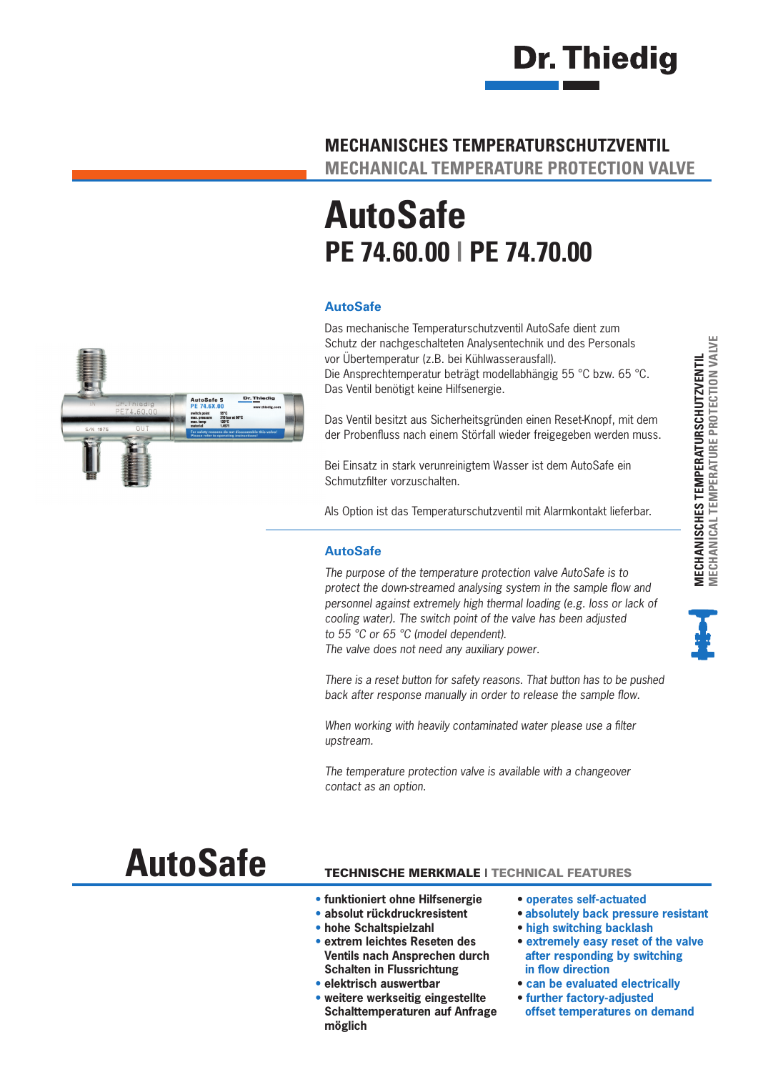

#### **MECHANISCHES TEMPERATURSCHUTZVENTIL**

**MECHANICAL TEMPERATURE PROTECTION VALVE**

## **AutoSafe PE 74.60.00 | PE 74.70.00**

#### **AutoSafe**

Das mechanische Temperaturschutzventil AutoSafe dient zum Schutz der nachgeschalteten Analysentechnik und des Personals vor Übertemperatur (z.B. bei Kühlwasserausfall). Die Ansprechtemperatur beträgt modellabhängig 55 °C bzw. 65 °C. Das Ventil benötigt keine Hilfsenergie.

Das Ventil besitzt aus Sicherheitsgründen einen Reset-Knopf, mit dem der Probenfluss nach einem Störfall wieder freigegeben werden muss.

Bei Einsatz in stark verunreinigtem Wasser ist dem AutoSafe ein Schmutzfilter vorzuschalten.

Als Option ist das Temperaturschutzventil mit Alarmkontakt lieferbar.

#### **AutoSafe**

*The purpose of the temperature protection valve AutoSafe is to protect the down-streamed analysing system in the sample flow and personnel against extremely high thermal loading (e.g. loss or lack of cooling water). The switch point of the valve has been adjusted to 55 °C or 65 °C (model dependent). The valve does not need any auxiliary power.*

*There is a reset button for safety reasons. That button has to be pushed back after response manually in order to release the sample flow.*

*When working with heavily contaminated water please use a filter upstream.*

*The temperature protection valve is available with a changeover contact as an option.*

# **AutoSafe**

#### TECHNISCHE MERKMALE | TECHNICAL FEATURES

- **• funktioniert ohne Hilfsenergie**
- **• absolut rückdruckresistent**
- **• hohe Schaltspielzahl**
- **• extrem leichtes Reseten des Ventils nach Ansprechen durch Schalten in Flussrichtung**
- **elektrisch auswertbar**
- **• weitere werkseitig eingestellte Schalttemperaturen auf Anfrage möglich**
- **operates self-actuated**
- **• absolutely back pressure resistant**
- **high switching backlash**
- **extremely easy reset of the valve after responding by switching in flow direction**
- **can be evaluated electrically**
- **further factory-adjusted offset temperatures on demand**